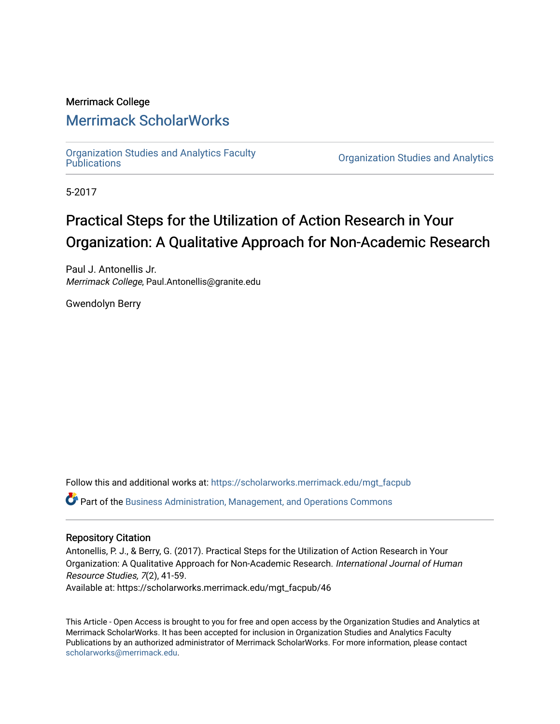#### Merrimack College

# [Merrimack ScholarWorks](https://scholarworks.merrimack.edu/)

[Organization Studies and Analytics Faculty](https://scholarworks.merrimack.edu/mgt_facpub) 

**Organization Studies and Analytics** 

5-2017

# Practical Steps for the Utilization of Action Research in Your Organization: A Qualitative Approach for Non-Academic Research

Paul J. Antonellis Jr. Merrimack College, Paul.Antonellis@granite.edu

Gwendolyn Berry

Follow this and additional works at: [https://scholarworks.merrimack.edu/mgt\\_facpub](https://scholarworks.merrimack.edu/mgt_facpub?utm_source=scholarworks.merrimack.edu%2Fmgt_facpub%2F46&utm_medium=PDF&utm_campaign=PDFCoverPages) 

Part of the [Business Administration, Management, and Operations Commons](http://network.bepress.com/hgg/discipline/623?utm_source=scholarworks.merrimack.edu%2Fmgt_facpub%2F46&utm_medium=PDF&utm_campaign=PDFCoverPages)

#### Repository Citation

Antonellis, P. J., & Berry, G. (2017). Practical Steps for the Utilization of Action Research in Your Organization: A Qualitative Approach for Non-Academic Research. International Journal of Human Resource Studies, 7(2), 41-59. Available at: https://scholarworks.merrimack.edu/mgt\_facpub/46

This Article - Open Access is brought to you for free and open access by the Organization Studies and Analytics at Merrimack ScholarWorks. It has been accepted for inclusion in Organization Studies and Analytics Faculty Publications by an authorized administrator of Merrimack ScholarWorks. For more information, please contact [scholarworks@merrimack.edu](mailto:scholarworks@merrimack.edu).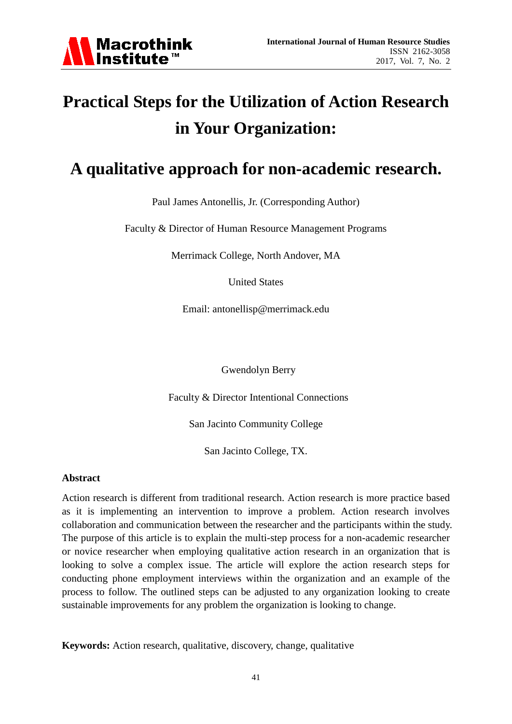

# **Practical Steps for the Utilization of Action Research in Your Organization:**

# **A qualitative approach for non-academic research.**

Paul James Antonellis, Jr. (Corresponding Author)

Faculty & Director of Human Resource Management Programs

Merrimack College, North Andover, MA

United States

Email: antonellisp@merrimack.edu

Gwendolyn Berry

Faculty & Director Intentional Connections

San Jacinto Community College

San Jacinto College, TX.

#### **Abstract**

Action research is different from traditional research. Action research is more practice based as it is implementing an intervention to improve a problem. Action research involves collaboration and communication between the researcher and the participants within the study. The purpose of this article is to explain the multi-step process for a non-academic researcher or novice researcher when employing qualitative action research in an organization that is looking to solve a complex issue. The article will explore the action research steps for conducting phone employment interviews within the organization and an example of the process to follow. The outlined steps can be adjusted to any organization looking to create sustainable improvements for any problem the organization is looking to change.

**Keywords:** Action research, qualitative, discovery, change, qualitative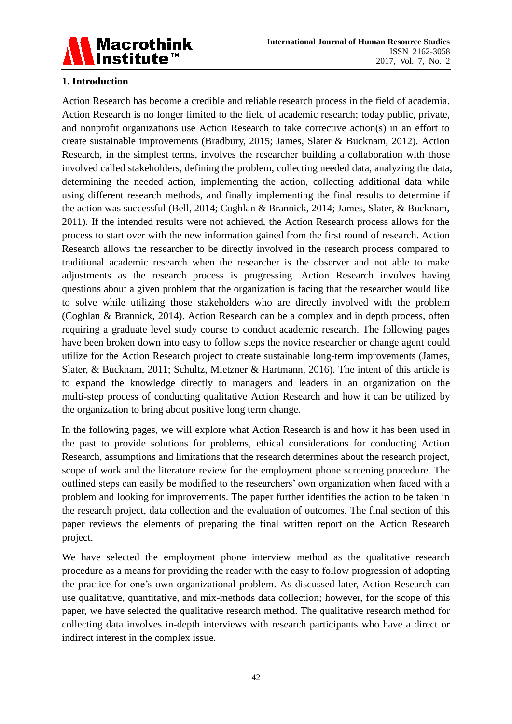

# **1. Introduction**

Action Research has become a credible and reliable research process in the field of academia. Action Research is no longer limited to the field of academic research; today public, private, and nonprofit organizations use Action Research to take corrective action(s) in an effort to create sustainable improvements (Bradbury, 2015; James, Slater & Bucknam, 2012). Action Research, in the simplest terms, involves the researcher building a collaboration with those involved called stakeholders, defining the problem, collecting needed data, analyzing the data, determining the needed action, implementing the action, collecting additional data while using different research methods, and finally implementing the final results to determine if the action was successful (Bell, 2014; Coghlan & Brannick, 2014; James, Slater, & Bucknam, 2011). If the intended results were not achieved, the Action Research process allows for the process to start over with the new information gained from the first round of research. Action Research allows the researcher to be directly involved in the research process compared to traditional academic research when the researcher is the observer and not able to make adjustments as the research process is progressing. Action Research involves having questions about a given problem that the organization is facing that the researcher would like to solve while utilizing those stakeholders who are directly involved with the problem (Coghlan & Brannick, 2014). Action Research can be a complex and in depth process, often requiring a graduate level study course to conduct academic research. The following pages have been broken down into easy to follow steps the novice researcher or change agent could utilize for the Action Research project to create sustainable long-term improvements (James, Slater, & Bucknam, 2011; Schultz, Mietzner & Hartmann, 2016). The intent of this article is to expand the knowledge directly to managers and leaders in an organization on the multi-step process of conducting qualitative Action Research and how it can be utilized by the organization to bring about positive long term change.

In the following pages, we will explore what Action Research is and how it has been used in the past to provide solutions for problems, ethical considerations for conducting Action Research, assumptions and limitations that the research determines about the research project, scope of work and the literature review for the employment phone screening procedure. The outlined steps can easily be modified to the researchers' own organization when faced with a problem and looking for improvements. The paper further identifies the action to be taken in the research project, data collection and the evaluation of outcomes. The final section of this paper reviews the elements of preparing the final written report on the Action Research project.

We have selected the employment phone interview method as the qualitative research procedure as a means for providing the reader with the easy to follow progression of adopting the practice for one's own organizational problem. As discussed later, Action Research can use qualitative, quantitative, and mix-methods data collection; however, for the scope of this paper, we have selected the qualitative research method. The qualitative research method for collecting data involves in-depth interviews with research participants who have a direct or indirect interest in the complex issue.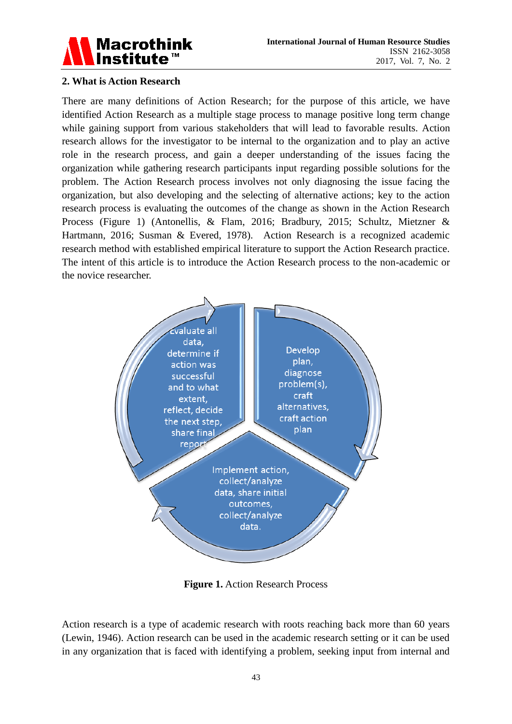

#### **2. What is Action Research**

There are many definitions of Action Research; for the purpose of this article, we have identified Action Research as a multiple stage process to manage positive long term change while gaining support from various stakeholders that will lead to favorable results. Action research allows for the investigator to be internal to the organization and to play an active role in the research process, and gain a deeper understanding of the issues facing the organization while gathering research participants input regarding possible solutions for the problem. The Action Research process involves not only diagnosing the issue facing the organization, but also developing and the selecting of alternative actions; key to the action research process is evaluating the outcomes of the change as shown in the Action Research Process (Figure 1) (Antonellis, & Flam, 2016; Bradbury, 2015; Schultz, Mietzner & Hartmann, 2016; Susman & Evered, 1978). Action Research is a recognized academic research method with established empirical literature to support the Action Research practice. The intent of this article is to introduce the Action Research process to the non-academic or the novice researcher.



**Figure 1.** Action Research Process

Action research is a type of academic research with roots reaching back more than 60 years (Lewin, 1946). Action research can be used in the academic research setting or it can be used in any organization that is faced with identifying a problem, seeking input from internal and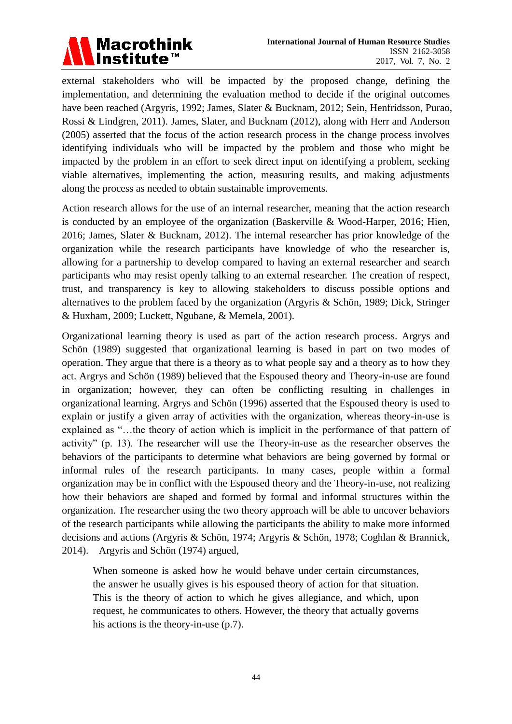

external stakeholders who will be impacted by the proposed change, defining the implementation, and determining the evaluation method to decide if the original outcomes have been reached (Argyris, 1992; James, Slater & Bucknam, 2012; Sein, Henfridsson, Purao, Rossi & Lindgren, 2011). James, Slater, and Bucknam (2012), along with Herr and Anderson (2005) asserted that the focus of the action research process in the change process involves identifying individuals who will be impacted by the problem and those who might be impacted by the problem in an effort to seek direct input on identifying a problem, seeking viable alternatives, implementing the action, measuring results, and making adjustments along the process as needed to obtain sustainable improvements.

Action research allows for the use of an internal researcher, meaning that the action research is conducted by an employee of the organization (Baskerville & Wood-Harper, 2016; Hien, 2016; James, Slater & Bucknam, 2012). The internal researcher has prior knowledge of the organization while the research participants have knowledge of who the researcher is, allowing for a partnership to develop compared to having an external researcher and search participants who may resist openly talking to an external researcher. The creation of respect, trust, and transparency is key to allowing stakeholders to discuss possible options and alternatives to the problem faced by the organization (Argyris & Schön, 1989; Dick, Stringer & Huxham, 2009; Luckett, Ngubane, & Memela, 2001).

Organizational learning theory is used as part of the action research process. Argrys and Schön (1989) suggested that organizational learning is based in part on two modes of operation. They argue that there is a theory as to what people say and a theory as to how they act. Argrys and Schön (1989) believed that the Espoused theory and Theory-in-use are found in organization; however, they can often be conflicting resulting in challenges in organizational learning. Argrys and Schön (1996) asserted that the Espoused theory is used to explain or justify a given array of activities with the organization, whereas theory-in-use is explained as "…the theory of action which is implicit in the performance of that pattern of activity" (p. 13). The researcher will use the Theory-in-use as the researcher observes the behaviors of the participants to determine what behaviors are being governed by formal or informal rules of the research participants. In many cases, people within a formal organization may be in conflict with the Espoused theory and the Theory-in-use, not realizing how their behaviors are shaped and formed by formal and informal structures within the organization. The researcher using the two theory approach will be able to uncover behaviors of the research participants while allowing the participants the ability to make more informed decisions and actions (Argyris & Schön, 1974; Argyris & Schön, 1978; Coghlan & Brannick, 2014). Argyris and Schön (1974) argued,

When someone is asked how he would behave under certain circumstances, the answer he usually gives is his espoused theory of action for that situation. This is the theory of action to which he gives allegiance, and which, upon request, he communicates to others. However, the theory that actually governs his actions is the theory-in-use (p.7).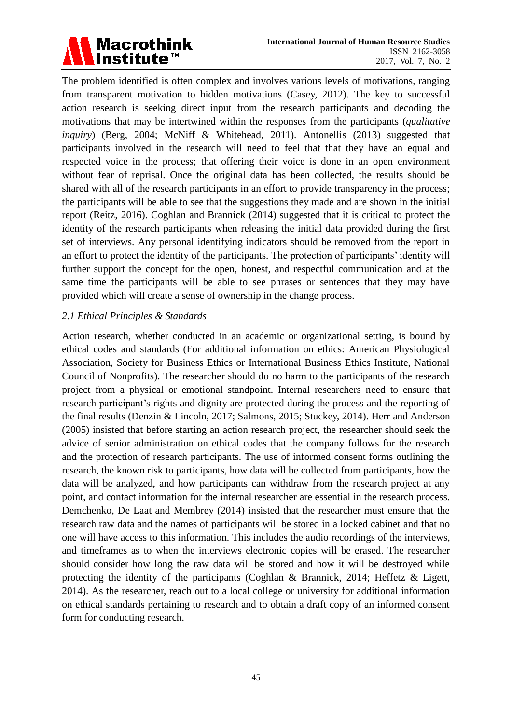

The problem identified is often complex and involves various levels of motivations, ranging from transparent motivation to hidden motivations (Casey, 2012). The key to successful action research is seeking direct input from the research participants and decoding the motivations that may be intertwined within the responses from the participants (*qualitative inquiry*) (Berg, 2004; McNiff & Whitehead, 2011). Antonellis (2013) suggested that participants involved in the research will need to feel that that they have an equal and respected voice in the process; that offering their voice is done in an open environment without fear of reprisal. Once the original data has been collected, the results should be shared with all of the research participants in an effort to provide transparency in the process; the participants will be able to see that the suggestions they made and are shown in the initial report (Reitz, 2016). Coghlan and Brannick (2014) suggested that it is critical to protect the identity of the research participants when releasing the initial data provided during the first set of interviews. Any personal identifying indicators should be removed from the report in an effort to protect the identity of the participants. The protection of participants' identity will further support the concept for the open, honest, and respectful communication and at the same time the participants will be able to see phrases or sentences that they may have provided which will create a sense of ownership in the change process.

#### *2.1 Ethical Principles & Standards*

Action research, whether conducted in an academic or organizational setting, is bound by ethical codes and standards (For additional information on ethics: American Physiological Association, Society for Business Ethics or International Business Ethics Institute, National Council of Nonprofits). The researcher should do no harm to the participants of the research project from a physical or emotional standpoint. Internal researchers need to ensure that research participant's rights and dignity are protected during the process and the reporting of the final results (Denzin & Lincoln, 2017; Salmons, 2015; Stuckey, 2014). Herr and Anderson (2005) insisted that before starting an action research project, the researcher should seek the advice of senior administration on ethical codes that the company follows for the research and the protection of research participants. The use of informed consent forms outlining the research, the known risk to participants, how data will be collected from participants, how the data will be analyzed, and how participants can withdraw from the research project at any point, and contact information for the internal researcher are essential in the research process. Demchenko, De Laat and Membrey (2014) insisted that the researcher must ensure that the research raw data and the names of participants will be stored in a locked cabinet and that no one will have access to this information. This includes the audio recordings of the interviews, and timeframes as to when the interviews electronic copies will be erased. The researcher should consider how long the raw data will be stored and how it will be destroyed while protecting the identity of the participants (Coghlan & Brannick, 2014; Heffetz & Ligett, 2014). As the researcher, reach out to a local college or university for additional information on ethical standards pertaining to research and to obtain a draft copy of an informed consent form for conducting research.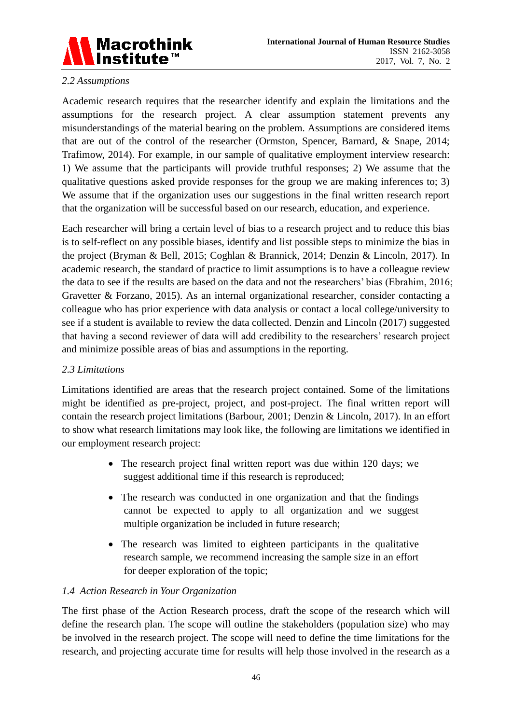

# *2.2 Assumptions*

Academic research requires that the researcher identify and explain the limitations and the assumptions for the research project. A clear assumption statement prevents any misunderstandings of the material bearing on the problem. Assumptions are considered items that are out of the control of the researcher (Ormston, Spencer, Barnard, & Snape, 2014; Trafimow, 2014). For example, in our sample of qualitative employment interview research: 1) We assume that the participants will provide truthful responses; 2) We assume that the qualitative questions asked provide responses for the group we are making inferences to; 3) We assume that if the organization uses our suggestions in the final written research report that the organization will be successful based on our research, education, and experience.

Each researcher will bring a certain level of bias to a research project and to reduce this bias is to self-reflect on any possible biases, identify and list possible steps to minimize the bias in the project (Bryman & Bell, 2015; Coghlan & Brannick, 2014; Denzin & Lincoln, 2017). In academic research, the standard of practice to limit assumptions is to have a colleague review the data to see if the results are based on the data and not the researchers' bias (Ebrahim, 2016; Gravetter & Forzano, 2015). As an internal organizational researcher, consider contacting a colleague who has prior experience with data analysis or contact a local college/university to see if a student is available to review the data collected. Denzin and Lincoln (2017) suggested that having a second reviewer of data will add credibility to the researchers' research project and minimize possible areas of bias and assumptions in the reporting.

## *2.3 Limitations*

Limitations identified are areas that the research project contained. Some of the limitations might be identified as pre-project, project, and post-project. The final written report will contain the research project limitations (Barbour, 2001; Denzin & Lincoln, 2017). In an effort to show what research limitations may look like, the following are limitations we identified in our employment research project:

- The research project final written report was due within 120 days; we suggest additional time if this research is reproduced;
- The research was conducted in one organization and that the findings cannot be expected to apply to all organization and we suggest multiple organization be included in future research;
- The research was limited to eighteen participants in the qualitative research sample, we recommend increasing the sample size in an effort for deeper exploration of the topic;

# *1.4 Action Research in Your Organization*

The first phase of the Action Research process, draft the scope of the research which will define the research plan. The scope will outline the stakeholders (population size) who may be involved in the research project. The scope will need to define the time limitations for the research, and projecting accurate time for results will help those involved in the research as a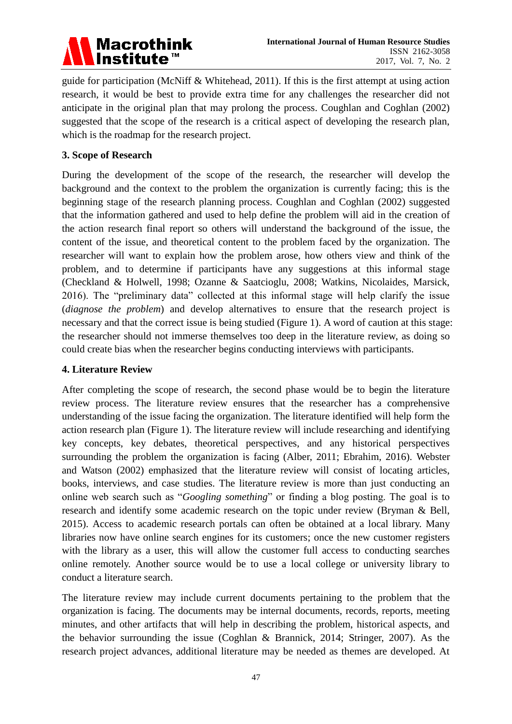

guide for participation (McNiff & Whitehead, 2011). If this is the first attempt at using action research, it would be best to provide extra time for any challenges the researcher did not anticipate in the original plan that may prolong the process. Coughlan and Coghlan (2002) suggested that the scope of the research is a critical aspect of developing the research plan, which is the roadmap for the research project.

#### **3. Scope of Research**

During the development of the scope of the research, the researcher will develop the background and the context to the problem the organization is currently facing; this is the beginning stage of the research planning process. Coughlan and Coghlan (2002) suggested that the information gathered and used to help define the problem will aid in the creation of the action research final report so others will understand the background of the issue, the content of the issue, and theoretical content to the problem faced by the organization. The researcher will want to explain how the problem arose, how others view and think of the problem, and to determine if participants have any suggestions at this informal stage (Checkland & Holwell, 1998; Ozanne & Saatcioglu, 2008; Watkins, Nicolaides, Marsick, 2016). The "preliminary data" collected at this informal stage will help clarify the issue (*diagnose the problem*) and develop alternatives to ensure that the research project is necessary and that the correct issue is being studied (Figure 1). A word of caution at this stage: the researcher should not immerse themselves too deep in the literature review, as doing so could create bias when the researcher begins conducting interviews with participants.

#### **4. Literature Review**

After completing the scope of research, the second phase would be to begin the literature review process. The literature review ensures that the researcher has a comprehensive understanding of the issue facing the organization. The literature identified will help form the action research plan (Figure 1). The literature review will include researching and identifying key concepts, key debates, theoretical perspectives, and any historical perspectives surrounding the problem the organization is facing (Alber, 2011; Ebrahim, 2016). Webster and Watson (2002) emphasized that the literature review will consist of locating articles, books, interviews, and case studies. The literature review is more than just conducting an online web search such as "*Googling something*" or finding a blog posting. The goal is to research and identify some academic research on the topic under review (Bryman & Bell, 2015). Access to academic research portals can often be obtained at a local library. Many libraries now have online search engines for its customers; once the new customer registers with the library as a user, this will allow the customer full access to conducting searches online remotely. Another source would be to use a local college or university library to conduct a literature search.

The literature review may include current documents pertaining to the problem that the organization is facing. The documents may be internal documents, records, reports, meeting minutes, and other artifacts that will help in describing the problem, historical aspects, and the behavior surrounding the issue (Coghlan & Brannick, 2014; Stringer, 2007). As the research project advances, additional literature may be needed as themes are developed. At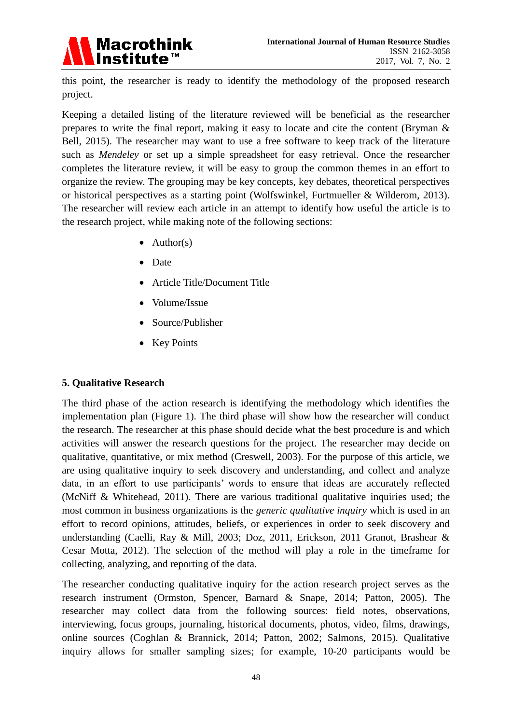

this point, the researcher is ready to identify the methodology of the proposed research project.

Keeping a detailed listing of the literature reviewed will be beneficial as the researcher prepares to write the final report, making it easy to locate and cite the content (Bryman & Bell, 2015). The researcher may want to use a free software to keep track of the literature such as *Mendeley* or set up a simple spreadsheet for easy retrieval. Once the researcher completes the literature review, it will be easy to group the common themes in an effort to organize the review. The grouping may be key concepts, key debates, theoretical perspectives or historical perspectives as a starting point (Wolfswinkel, Furtmueller & Wilderom, 2013). The researcher will review each article in an attempt to identify how useful the article is to the research project, while making note of the following sections:

- $\bullet$  Author(s)
- Date
- Article Title/Document Title
- Volume/Issue
- Source/Publisher
- Key Points

## **5. Qualitative Research**

The third phase of the action research is identifying the methodology which identifies the implementation plan (Figure 1). The third phase will show how the researcher will conduct the research. The researcher at this phase should decide what the best procedure is and which activities will answer the research questions for the project. The researcher may decide on qualitative, quantitative, or mix method (Creswell, 2003). For the purpose of this article, we are using qualitative inquiry to seek discovery and understanding, and collect and analyze data, in an effort to use participants' words to ensure that ideas are accurately reflected (McNiff & Whitehead, 2011). There are various traditional qualitative inquiries used; the most common in business organizations is the *generic qualitative inquiry* which is used in an effort to record opinions, attitudes, beliefs, or experiences in order to seek discovery and understanding (Caelli, Ray & Mill, 2003; Doz, 2011, Erickson, 2011 Granot, Brashear & Cesar Motta, 2012). The selection of the method will play a role in the timeframe for collecting, analyzing, and reporting of the data.

The researcher conducting qualitative inquiry for the action research project serves as the research instrument (Ormston, Spencer, Barnard & Snape, 2014; Patton, 2005). The researcher may collect data from the following sources: field notes, observations, interviewing, focus groups, journaling, historical documents, photos, video, films, drawings, online sources (Coghlan & Brannick, 2014; Patton, 2002; Salmons, 2015). Qualitative inquiry allows for smaller sampling sizes; for example, 10-20 participants would be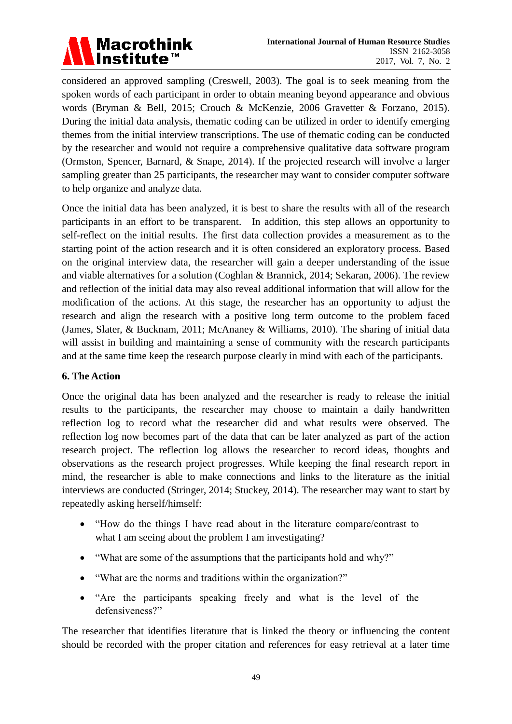

considered an approved sampling (Creswell, 2003). The goal is to seek meaning from the spoken words of each participant in order to obtain meaning beyond appearance and obvious words (Bryman & Bell, 2015; Crouch & McKenzie, 2006 Gravetter & Forzano, 2015). During the initial data analysis, thematic coding can be utilized in order to identify emerging themes from the initial interview transcriptions. The use of thematic coding can be conducted by the researcher and would not require a comprehensive qualitative data software program (Ormston, Spencer, Barnard, & Snape, 2014). If the projected research will involve a larger sampling greater than 25 participants, the researcher may want to consider computer software to help organize and analyze data.

Once the initial data has been analyzed, it is best to share the results with all of the research participants in an effort to be transparent. In addition, this step allows an opportunity to self-reflect on the initial results. The first data collection provides a measurement as to the starting point of the action research and it is often considered an exploratory process. Based on the original interview data, the researcher will gain a deeper understanding of the issue and viable alternatives for a solution (Coghlan & Brannick, 2014; Sekaran, 2006). The review and reflection of the initial data may also reveal additional information that will allow for the modification of the actions. At this stage, the researcher has an opportunity to adjust the research and align the research with a positive long term outcome to the problem faced (James, Slater, & Bucknam, 2011; McAnaney & Williams, 2010). The sharing of initial data will assist in building and maintaining a sense of community with the research participants and at the same time keep the research purpose clearly in mind with each of the participants.

## **6. The Action**

Once the original data has been analyzed and the researcher is ready to release the initial results to the participants, the researcher may choose to maintain a daily handwritten reflection log to record what the researcher did and what results were observed. The reflection log now becomes part of the data that can be later analyzed as part of the action research project. The reflection log allows the researcher to record ideas, thoughts and observations as the research project progresses. While keeping the final research report in mind, the researcher is able to make connections and links to the literature as the initial interviews are conducted (Stringer, 2014; Stuckey, 2014). The researcher may want to start by repeatedly asking herself/himself:

- "How do the things I have read about in the literature compare/contrast to what I am seeing about the problem I am investigating?
- "What are some of the assumptions that the participants hold and why?"
- "What are the norms and traditions within the organization?"
- "Are the participants speaking freely and what is the level of the defensiveness?"

The researcher that identifies literature that is linked the theory or influencing the content should be recorded with the proper citation and references for easy retrieval at a later time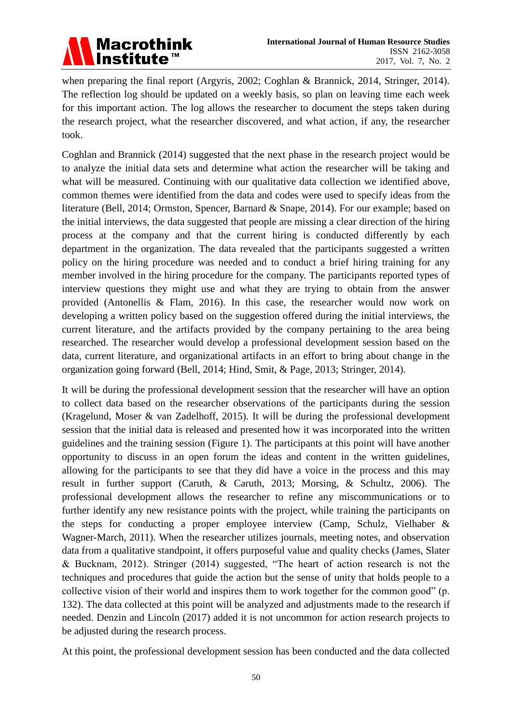

when preparing the final report (Argyris, 2002; Coghlan & Brannick, 2014, Stringer, 2014). The reflection log should be updated on a weekly basis, so plan on leaving time each week for this important action. The log allows the researcher to document the steps taken during the research project, what the researcher discovered, and what action, if any, the researcher took.

Coghlan and Brannick (2014) suggested that the next phase in the research project would be to analyze the initial data sets and determine what action the researcher will be taking and what will be measured. Continuing with our qualitative data collection we identified above, common themes were identified from the data and codes were used to specify ideas from the literature (Bell, 2014; Ormston, Spencer, Barnard & Snape, 2014). For our example; based on the initial interviews, the data suggested that people are missing a clear direction of the hiring process at the company and that the current hiring is conducted differently by each department in the organization. The data revealed that the participants suggested a written policy on the hiring procedure was needed and to conduct a brief hiring training for any member involved in the hiring procedure for the company. The participants reported types of interview questions they might use and what they are trying to obtain from the answer provided (Antonellis & Flam, 2016). In this case, the researcher would now work on developing a written policy based on the suggestion offered during the initial interviews, the current literature, and the artifacts provided by the company pertaining to the area being researched. The researcher would develop a professional development session based on the data, current literature, and organizational artifacts in an effort to bring about change in the organization going forward (Bell, 2014; Hind, Smit, & Page, 2013; Stringer, 2014).

It will be during the professional development session that the researcher will have an option to collect data based on the researcher observations of the participants during the session (Kragelund, Moser & van Zadelhoff, 2015). It will be during the professional development session that the initial data is released and presented how it was incorporated into the written guidelines and the training session (Figure 1). The participants at this point will have another opportunity to discuss in an open forum the ideas and content in the written guidelines, allowing for the participants to see that they did have a voice in the process and this may result in further support (Caruth, & Caruth, 2013; Morsing, & Schultz, 2006). The professional development allows the researcher to refine any miscommunications or to further identify any new resistance points with the project, while training the participants on the steps for conducting a proper employee interview (Camp, Schulz, Vielhaber & Wagner-March, 2011). When the researcher utilizes journals, meeting notes, and observation data from a qualitative standpoint, it offers purposeful value and quality checks (James, Slater & Bucknam, 2012). Stringer (2014) suggested, "The heart of action research is not the techniques and procedures that guide the action but the sense of unity that holds people to a collective vision of their world and inspires them to work together for the common good" (p. 132). The data collected at this point will be analyzed and adjustments made to the research if needed. Denzin and Lincoln (2017) added it is not uncommon for action research projects to be adjusted during the research process.

At this point, the professional development session has been conducted and the data collected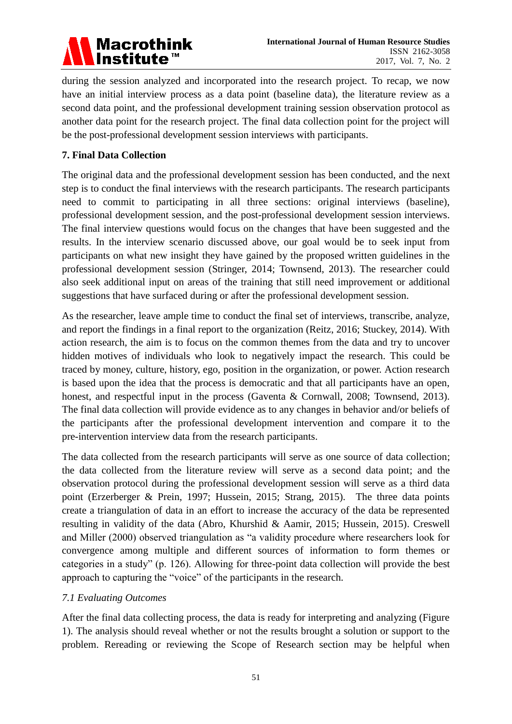

during the session analyzed and incorporated into the research project. To recap, we now have an initial interview process as a data point (baseline data), the literature review as a second data point, and the professional development training session observation protocol as another data point for the research project. The final data collection point for the project will be the post-professional development session interviews with participants.

## **7. Final Data Collection**

The original data and the professional development session has been conducted, and the next step is to conduct the final interviews with the research participants. The research participants need to commit to participating in all three sections: original interviews (baseline), professional development session, and the post-professional development session interviews. The final interview questions would focus on the changes that have been suggested and the results. In the interview scenario discussed above, our goal would be to seek input from participants on what new insight they have gained by the proposed written guidelines in the professional development session (Stringer, 2014; Townsend, 2013). The researcher could also seek additional input on areas of the training that still need improvement or additional suggestions that have surfaced during or after the professional development session.

As the researcher, leave ample time to conduct the final set of interviews, transcribe, analyze, and report the findings in a final report to the organization (Reitz, 2016; Stuckey, 2014). With action research, the aim is to focus on the common themes from the data and try to uncover hidden motives of individuals who look to negatively impact the research. This could be traced by money, culture, history, ego, position in the organization, or power. Action research is based upon the idea that the process is democratic and that all participants have an open, honest, and respectful input in the process (Gaventa & Cornwall, 2008; Townsend, 2013). The final data collection will provide evidence as to any changes in behavior and/or beliefs of the participants after the professional development intervention and compare it to the pre-intervention interview data from the research participants.

The data collected from the research participants will serve as one source of data collection; the data collected from the literature review will serve as a second data point; and the observation protocol during the professional development session will serve as a third data point (Erzerberger & Prein, 1997; Hussein, 2015; Strang, 2015). The three data points create a triangulation of data in an effort to increase the accuracy of the data be represented resulting in validity of the data (Abro, Khurshid & Aamir, 2015; Hussein, 2015). Creswell and Miller (2000) observed triangulation as "a validity procedure where researchers look for convergence among multiple and different sources of information to form themes or categories in a study" (p. 126). Allowing for three-point data collection will provide the best approach to capturing the "voice" of the participants in the research.

#### *7.1 Evaluating Outcomes*

After the final data collecting process, the data is ready for interpreting and analyzing (Figure 1). The analysis should reveal whether or not the results brought a solution or support to the problem. Rereading or reviewing the Scope of Research section may be helpful when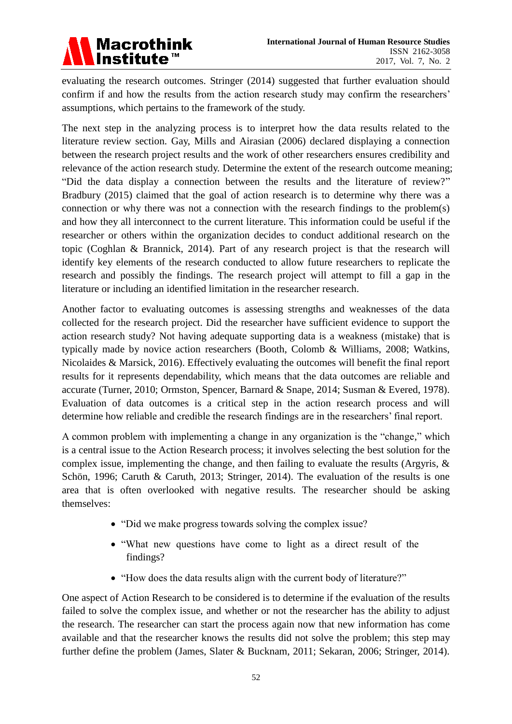

evaluating the research outcomes. Stringer (2014) suggested that further evaluation should confirm if and how the results from the action research study may confirm the researchers' assumptions, which pertains to the framework of the study.

The next step in the analyzing process is to interpret how the data results related to the literature review section. Gay, Mills and Airasian (2006) declared displaying a connection between the research project results and the work of other researchers ensures credibility and relevance of the action research study. Determine the extent of the research outcome meaning; "Did the data display a connection between the results and the literature of review?" Bradbury (2015) claimed that the goal of action research is to determine why there was a connection or why there was not a connection with the research findings to the problem(s) and how they all interconnect to the current literature. This information could be useful if the researcher or others within the organization decides to conduct additional research on the topic (Coghlan & Brannick, 2014). Part of any research project is that the research will identify key elements of the research conducted to allow future researchers to replicate the research and possibly the findings. The research project will attempt to fill a gap in the literature or including an identified limitation in the researcher research.

Another factor to evaluating outcomes is assessing strengths and weaknesses of the data collected for the research project. Did the researcher have sufficient evidence to support the action research study? Not having adequate supporting data is a weakness (mistake) that is typically made by novice action researchers (Booth, Colomb & Williams, 2008; Watkins, Nicolaides & Marsick, 2016). Effectively evaluating the outcomes will benefit the final report results for it represents dependability, which means that the data outcomes are reliable and accurate (Turner, 2010; Ormston, Spencer, Barnard & Snape, 2014; Susman & Evered, 1978). Evaluation of data outcomes is a critical step in the action research process and will determine how reliable and credible the research findings are in the researchers' final report.

A common problem with implementing a change in any organization is the "change," which is a central issue to the Action Research process; it involves selecting the best solution for the complex issue, implementing the change, and then failing to evaluate the results (Argyris, & Schön, 1996; Caruth & Caruth, 2013; Stringer, 2014). The evaluation of the results is one area that is often overlooked with negative results. The researcher should be asking themselves:

- "Did we make progress towards solving the complex issue?
- "What new questions have come to light as a direct result of the findings?
- "How does the data results align with the current body of literature?"

One aspect of Action Research to be considered is to determine if the evaluation of the results failed to solve the complex issue, and whether or not the researcher has the ability to adjust the research. The researcher can start the process again now that new information has come available and that the researcher knows the results did not solve the problem; this step may further define the problem (James, Slater & Bucknam, 2011; Sekaran, 2006; Stringer, 2014).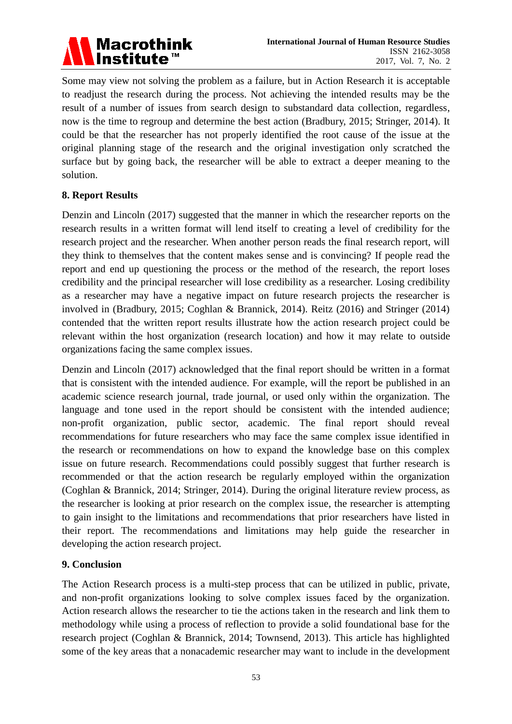

Some may view not solving the problem as a failure, but in Action Research it is acceptable to readjust the research during the process. Not achieving the intended results may be the result of a number of issues from search design to substandard data collection, regardless, now is the time to regroup and determine the best action (Bradbury, 2015; Stringer, 2014). It could be that the researcher has not properly identified the root cause of the issue at the original planning stage of the research and the original investigation only scratched the surface but by going back, the researcher will be able to extract a deeper meaning to the solution.

## **8. Report Results**

Denzin and Lincoln (2017) suggested that the manner in which the researcher reports on the research results in a written format will lend itself to creating a level of credibility for the research project and the researcher. When another person reads the final research report, will they think to themselves that the content makes sense and is convincing? If people read the report and end up questioning the process or the method of the research, the report loses credibility and the principal researcher will lose credibility as a researcher. Losing credibility as a researcher may have a negative impact on future research projects the researcher is involved in (Bradbury, 2015; Coghlan & Brannick, 2014). Reitz (2016) and Stringer (2014) contended that the written report results illustrate how the action research project could be relevant within the host organization (research location) and how it may relate to outside organizations facing the same complex issues.

Denzin and Lincoln (2017) acknowledged that the final report should be written in a format that is consistent with the intended audience. For example, will the report be published in an academic science research journal, trade journal, or used only within the organization. The language and tone used in the report should be consistent with the intended audience; non-profit organization, public sector, academic. The final report should reveal recommendations for future researchers who may face the same complex issue identified in the research or recommendations on how to expand the knowledge base on this complex issue on future research. Recommendations could possibly suggest that further research is recommended or that the action research be regularly employed within the organization (Coghlan & Brannick, 2014; Stringer, 2014). During the original literature review process, as the researcher is looking at prior research on the complex issue, the researcher is attempting to gain insight to the limitations and recommendations that prior researchers have listed in their report. The recommendations and limitations may help guide the researcher in developing the action research project.

## **9. Conclusion**

The Action Research process is a multi-step process that can be utilized in public, private, and non-profit organizations looking to solve complex issues faced by the organization. Action research allows the researcher to tie the actions taken in the research and link them to methodology while using a process of reflection to provide a solid foundational base for the research project (Coghlan & Brannick, 2014; Townsend, 2013). This article has highlighted some of the key areas that a nonacademic researcher may want to include in the development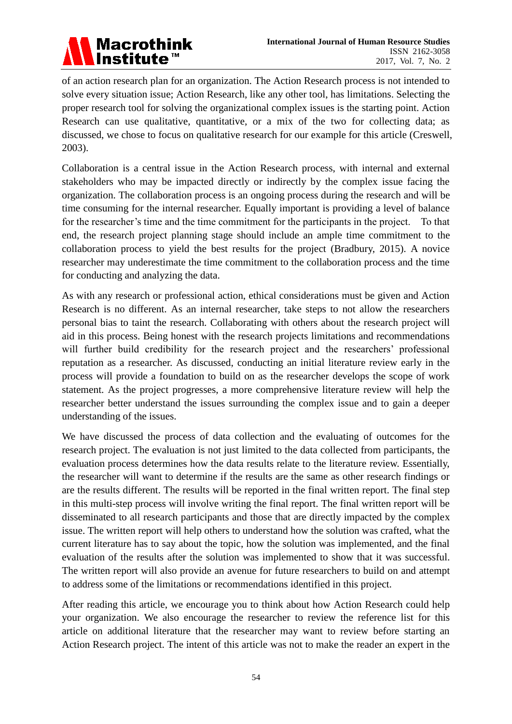

of an action research plan for an organization. The Action Research process is not intended to solve every situation issue; Action Research, like any other tool, has limitations. Selecting the proper research tool for solving the organizational complex issues is the starting point. Action Research can use qualitative, quantitative, or a mix of the two for collecting data; as discussed, we chose to focus on qualitative research for our example for this article (Creswell, 2003).

Collaboration is a central issue in the Action Research process, with internal and external stakeholders who may be impacted directly or indirectly by the complex issue facing the organization. The collaboration process is an ongoing process during the research and will be time consuming for the internal researcher. Equally important is providing a level of balance for the researcher's time and the time commitment for the participants in the project. To that end, the research project planning stage should include an ample time commitment to the collaboration process to yield the best results for the project (Bradbury, 2015). A novice researcher may underestimate the time commitment to the collaboration process and the time for conducting and analyzing the data.

As with any research or professional action, ethical considerations must be given and Action Research is no different. As an internal researcher, take steps to not allow the researchers personal bias to taint the research. Collaborating with others about the research project will aid in this process. Being honest with the research projects limitations and recommendations will further build credibility for the research project and the researchers' professional reputation as a researcher. As discussed, conducting an initial literature review early in the process will provide a foundation to build on as the researcher develops the scope of work statement. As the project progresses, a more comprehensive literature review will help the researcher better understand the issues surrounding the complex issue and to gain a deeper understanding of the issues.

We have discussed the process of data collection and the evaluating of outcomes for the research project. The evaluation is not just limited to the data collected from participants, the evaluation process determines how the data results relate to the literature review. Essentially, the researcher will want to determine if the results are the same as other research findings or are the results different. The results will be reported in the final written report. The final step in this multi-step process will involve writing the final report. The final written report will be disseminated to all research participants and those that are directly impacted by the complex issue. The written report will help others to understand how the solution was crafted, what the current literature has to say about the topic, how the solution was implemented, and the final evaluation of the results after the solution was implemented to show that it was successful. The written report will also provide an avenue for future researchers to build on and attempt to address some of the limitations or recommendations identified in this project.

After reading this article, we encourage you to think about how Action Research could help your organization. We also encourage the researcher to review the reference list for this article on additional literature that the researcher may want to review before starting an Action Research project. The intent of this article was not to make the reader an expert in the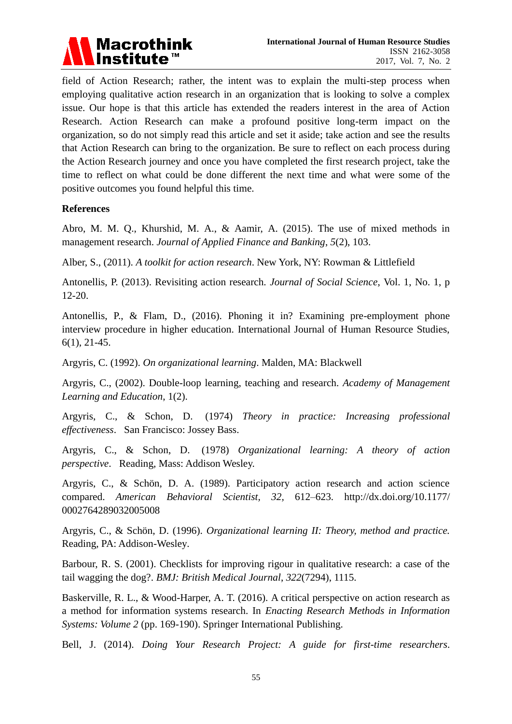

field of Action Research; rather, the intent was to explain the multi-step process when employing qualitative action research in an organization that is looking to solve a complex issue. Our hope is that this article has extended the readers interest in the area of Action Research. Action Research can make a profound positive long-term impact on the organization, so do not simply read this article and set it aside; take action and see the results that Action Research can bring to the organization. Be sure to reflect on each process during the Action Research journey and once you have completed the first research project, take the time to reflect on what could be done different the next time and what were some of the positive outcomes you found helpful this time.

#### **References**

Abro, M. M. Q., Khurshid, M. A., & Aamir, A. (2015). The use of mixed methods in management research. *Journal of Applied Finance and Banking*, *5*(2), 103.

Alber, S., (2011). *A toolkit for action research*. New York, NY: Rowman & Littlefield

Antonellis, P. (2013). Revisiting action research. *Journal of Social Science*, Vol. 1, No. 1, p 12-20.

Antonellis, P., & Flam, D., (2016). Phoning it in? Examining pre-employment phone interview procedure in higher education. International Journal of Human Resource Studies, 6(1), 21-45.

Argyris, C. (1992). *On organizational learning*. Malden, MA: Blackwell

Argyris, C., (2002). Double-loop learning, teaching and research. *Academy of Management Learning and Education*, 1(2).

Argyris, C., & Schon, D. (1974) *Theory in practice: Increasing professional effectiveness*. San Francisco: Jossey Bass.

Argyris, C., & Schon, D. (1978) *Organizational learning: A theory of action perspective*. Reading, Mass: Addison Wesley.

Argyris, C., & Schön, D. A. (1989). Participatory action research and action science compared. *American Behavioral Scientist, 32,* 612–623. http://dx.doi.org/10.1177/ 0002764289032005008

Argyris, C., & Schön, D. (1996). *Organizational learning II: Theory, method and practice.*  Reading, PA: Addison-Wesley.

Barbour, R. S. (2001). Checklists for improving rigour in qualitative research: a case of the tail wagging the dog?. *BMJ: British Medical Journal*, *322*(7294), 1115.

Baskerville, R. L., & Wood-Harper, A. T. (2016). A critical perspective on action research as a method for information systems research. In *Enacting Research Methods in Information Systems: Volume 2* (pp. 169-190). Springer International Publishing.

Bell, J. (2014). *Doing Your Research Project: A guide for first-time researchers*.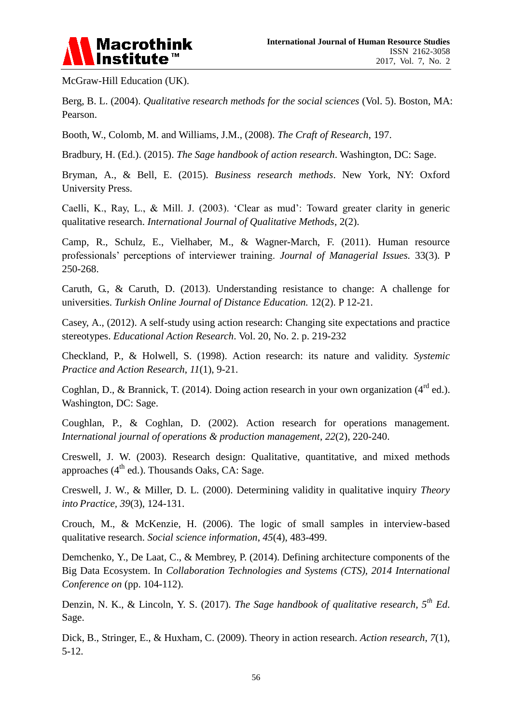

McGraw-Hill Education (UK).

Berg, B. L. (2004). *Qualitative research methods for the social sciences* (Vol. 5). Boston, MA: Pearson.

Booth, W., Colomb, M. and Williams, J.M., (2008). *The Craft of Research*, 197.

Bradbury, H. (Ed.). (2015). *The Sage handbook of action research*. Washington, DC: Sage.

Bryman, A., & Bell, E. (2015). *Business research methods*. New York, NY: Oxford University Press.

Caelli, K., Ray, L., & Mill. J. (2003). 'Clear as mud': Toward greater clarity in generic qualitative research. *International Journal of Qualitative Methods*, 2(2).

Camp, R., Schulz, E., Vielhaber, M., & Wagner-March, F. (2011). Human resource professionals' perceptions of interviewer training. *Journal of Managerial Issues.* 33(3). P 250-268.

Caruth, G., & Caruth, D. (2013). Understanding resistance to change: A challenge for universities. *Turkish Online Journal of Distance Education.* 12(2). P 12-21.

Casey, A., (2012). A self-study using action research: Changing site expectations and practice stereotypes. *Educational Action Research*. Vol. 20, No. 2. p. 219-232

Checkland, P., & Holwell, S. (1998). Action research: its nature and validity. *Systemic Practice and Action Research*, *11*(1), 9-21.

Coghlan, D., & Brannick, T. (2014). Doing action research in your own organization  $(4^{rd}$  ed.). Washington, DC: Sage.

Coughlan, P., & Coghlan, D. (2002). Action research for operations management. *International journal of operations & production management*, *22*(2), 220-240.

Creswell, J. W. (2003). Research design: Qualitative, quantitative, and mixed methods approaches  $(4<sup>th</sup>$  ed.). Thousands Oaks, CA: Sage.

Creswell, J. W., & Miller, D. L. (2000). Determining validity in qualitative inquiry *Theory into Practice, 39*(3), 124-131.

Crouch, M., & McKenzie, H. (2006). The logic of small samples in interview-based qualitative research. *Social science information*, *45*(4), 483-499.

Demchenko, Y., De Laat, C., & Membrey, P. (2014). Defining architecture components of the Big Data Ecosystem. In *Collaboration Technologies and Systems (CTS), 2014 International Conference on* (pp. 104-112).

Denzin, N. K., & Lincoln, Y. S. (2017). *The Sage handbook of qualitative research, 5th Ed*. Sage.

Dick, B., Stringer, E., & Huxham, C. (2009). Theory in action research. *Action research*, *7*(1), 5-12.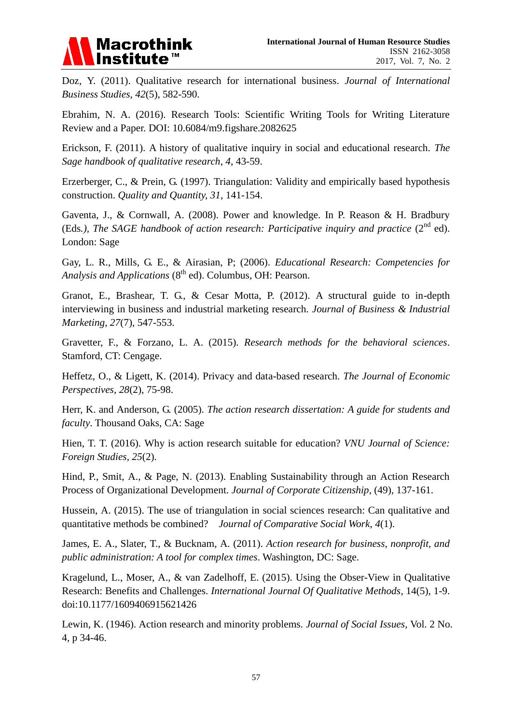

Doz, Y. (2011). Qualitative research for international business. *Journal of International Business Studies*, *42*(5), 582-590.

Ebrahim, N. A. (2016). Research Tools: Scientific Writing Tools for Writing Literature Review and a Paper. DOI: 10.6084/m9.figshare.2082625

Erickson, F. (2011). A history of qualitative inquiry in social and educational research. *The Sage handbook of qualitative research*, *4*, 43-59.

Erzerberger, C., & Prein, G. (1997). Triangulation: Validity and empirically based hypothesis construction. *Quality and Quantity, 31*, 141-154.

Gaventa, J., & Cornwall, A. (2008). Power and knowledge. In P. Reason & H. Bradbury (Eds.), The SAGE handbook of action research: Participative inquiry and practice  $(2^{nd}$  ed). London: Sage

Gay, L. R., Mills, G. E., & Airasian, P; (2006). *Educational Research: Competencies for Analysis and Applications* (8<sup>th</sup> ed). Columbus, OH: Pearson.

Granot, E., Brashear, T. G., & Cesar Motta, P. (2012). A structural guide to in-depth interviewing in business and industrial marketing research. *Journal of Business & Industrial Marketing*, *27*(7), 547-553.

Gravetter, F., & Forzano, L. A. (2015). *Research methods for the behavioral sciences*. Stamford, CT: Cengage.

Heffetz, O., & Ligett, K. (2014). Privacy and data-based research. *The Journal of Economic Perspectives*, *28*(2), 75-98.

Herr, K. and Anderson, G. (2005). *The action research dissertation: A guide for students and faculty*. Thousand Oaks, CA: Sage

Hien, T. T. (2016). Why is action research suitable for education? *VNU Journal of Science: Foreign Studies*, *25*(2).

Hind, P., Smit, A., & Page, N. (2013). Enabling Sustainability through an Action Research Process of Organizational Development. *Journal of Corporate Citizenship*, (49), 137-161.

Hussein, A. (2015). The use of triangulation in social sciences research: Can qualitative and quantitative methods be combined? *Journal of Comparative Social Work*, *4*(1).

James, E. A., Slater, T., & Bucknam, A. (2011). *Action research for business, nonprofit, and public administration: A tool for complex times*. Washington, DC: Sage.

Kragelund, L., Moser, A., & van Zadelhoff, E. (2015). Using the Obser-View in Qualitative Research: Benefits and Challenges. *International Journal Of Qualitative Methods*, 14(5), 1-9. doi:10.1177/1609406915621426

Lewin, K. (1946). Action research and minority problems. *Journal of Social Issues*, Vol. 2 No. 4, p 34-46.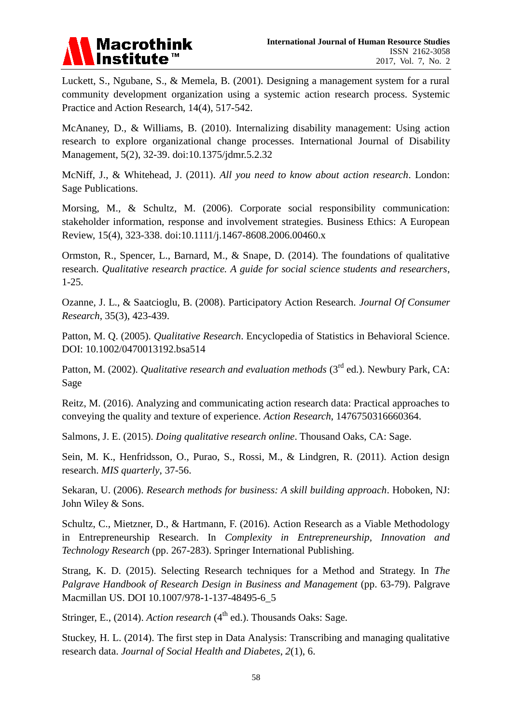

Luckett, S., Ngubane, S., & Memela, B. (2001). Designing a management system for a rural community development organization using a systemic action research process. Systemic Practice and Action Research, 14(4), 517-542.

McAnaney, D., & Williams, B. (2010). Internalizing disability management: Using action research to explore organizational change processes. International Journal of Disability Management, 5(2), 32-39. doi:10.1375/jdmr.5.2.32

McNiff, J., & Whitehead, J. (2011). *All you need to know about action research*. London: Sage Publications.

Morsing, M., & Schultz, M. (2006). Corporate social responsibility communication: stakeholder information, response and involvement strategies. Business Ethics: A European Review, 15(4), 323-338. doi:10.1111/j.1467-8608.2006.00460.x

Ormston, R., Spencer, L., Barnard, M., & Snape, D. (2014). The foundations of qualitative research. *Qualitative research practice. A guide for social science students and researchers*, 1-25.

Ozanne, J. L., & Saatcioglu, B. (2008). Participatory Action Research*. Journal Of Consumer Research*, 35(3), 423-439.

Patton, M. Q. (2005). *Qualitative Research*. Encyclopedia of Statistics in Behavioral Science. DOI: 10.1002/0470013192.bsa514

Patton, M. (2002). *Qualitative research and evaluation methods* (3<sup>rd</sup> ed.). Newbury Park. CA: Sage

Reitz, M. (2016). Analyzing and communicating action research data: Practical approaches to conveying the quality and texture of experience. *Action Research*, 1476750316660364.

Salmons, J. E. (2015). *Doing qualitative research online*. Thousand Oaks, CA: Sage.

Sein, M. K., Henfridsson, O., Purao, S., Rossi, M., & Lindgren, R. (2011). Action design research. *MIS quarterly*, 37-56.

Sekaran, U. (2006). *Research methods for business: A skill building approach*. Hoboken, NJ: John Wiley & Sons.

Schultz, C., Mietzner, D., & Hartmann, F. (2016). Action Research as a Viable Methodology in Entrepreneurship Research. In *Complexity in Entrepreneurship, Innovation and Technology Research* (pp. 267-283). Springer International Publishing.

Strang, K. D. (2015). Selecting Research techniques for a Method and Strategy. In *The Palgrave Handbook of Research Design in Business and Management* (pp. 63-79). Palgrave Macmillan US. DOI 10.1007/978-1-137-48495-6\_5

Stringer, E., (2014). *Action research* (4<sup>th</sup> ed.). Thousands Oaks: Sage.

Stuckey, H. L. (2014). The first step in Data Analysis: Transcribing and managing qualitative research data. *Journal of Social Health and Diabetes*, *2*(1), 6.